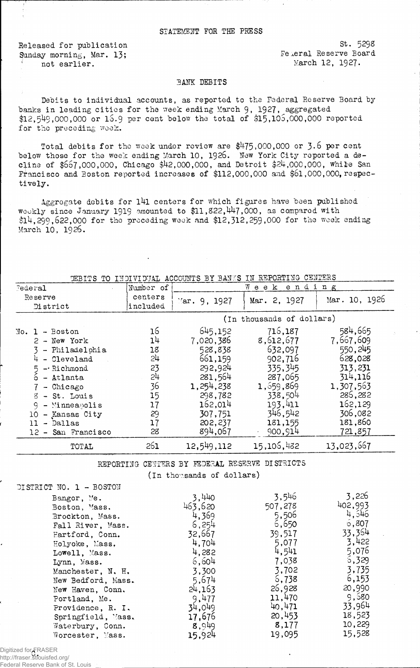Released for publication<br>
St. 5298<br>
Sunday morning Mar. 13:<br>
Sunday morning Mar. 13: Sunday morning, Mar.  $13$ : not earlier. March 12, 1927.

## BANK DEBITS

Debits to individual accounts, as reported to the Federal Reserve Board by banks in leading cities for the week ending March 9, 1927, aggregated  $$12,549,000,000$  or  $15.9$  per cent below the total of  $$15,105,000,000$  reported for the preceding week.

Total debits for the week under review are \$4-75.000,000 or 3-6 per cent below those for the week ending March 10, 1926. Hew York City reported a decline of \$667,000,000, Chicago \$42,000,000, and Detroit \$24,000,000, while San Francisco and Boston reported increases of \$112,000,000 and \$6l ,000,000, respectively.

Aggregate debits for 141 centers for which figures have been published weekly since January 1919 amounted to \$11,822,447,000, as compared with \$14,299,622,000 for the preceding week and \$12,312,259,000 for the week ending March 10, 1926.

| Federal                                                                                                                                                                                                                       | Number of                                                            |                                                                                                                                      | Week ending                                                                                                                              |                                                                                                                                      |
|-------------------------------------------------------------------------------------------------------------------------------------------------------------------------------------------------------------------------------|----------------------------------------------------------------------|--------------------------------------------------------------------------------------------------------------------------------------|------------------------------------------------------------------------------------------------------------------------------------------|--------------------------------------------------------------------------------------------------------------------------------------|
| Reserve<br>District                                                                                                                                                                                                           | centers<br>included                                                  | $\text{Var. } 9, 1927$                                                                                                               | Mar. 2, 1927                                                                                                                             | Mar. 10, 1926                                                                                                                        |
|                                                                                                                                                                                                                               |                                                                      | (In thousands of dollars)                                                                                                            |                                                                                                                                          |                                                                                                                                      |
| $No. 1 - Boston$<br>$2 - New York$<br>- Philadelphia<br>$4 - C1$ eveland<br>$5 -$ Richmond<br>$6 -$ Atlanta<br>$7$ - Chicago<br>$8 - St.$ Louis<br>$9 -$ Minneapolis<br>10 - Kansas City<br>ll - Dallas<br>12 - San Francisco | 16<br>14<br>18<br>24<br>23<br>24<br>36<br>15<br>17<br>29<br>17<br>28 | 645,152<br>7,020,386<br>528,838<br>661,159<br>292,924<br>281,564<br>1,254,238<br>298,782<br>162,014<br>307,751<br>202,237<br>894,067 | 716,187<br>8,612,677<br>632,097<br>902,716<br>335,345<br>287,065<br>1, 559, 869<br>338,504<br>193,411<br>346,542<br>181, 155<br>900, 914 | 584,665<br>7,667,609<br>550,245<br>628,028<br>313,231<br>314,116<br>1,307,563<br>286,282<br>162,129<br>306,082<br>181,860<br>721,857 |
| TOTAL                                                                                                                                                                                                                         | 261                                                                  | 12,549,112                                                                                                                           | 15,106,482                                                                                                                               | 13,023,667                                                                                                                           |

DEBITS TO INDIVIDUAL ACCOUNTS BY BANKS IN REPORTING CENTERS

REPORTING CENTERS BY FEDERAL RESERVE DISTRICTS

(In thousands of dollars)

| DISTRICT NO. 1 - BOSTON |         |         |         |
|-------------------------|---------|---------|---------|
| Bangor, Me.             | 3,440   | 3,546   | 3,226   |
| Boston, Mass.           | 463.620 | 507,278 | 402,993 |
| Brockton, Mass.         | 4,369   | 5,506   | 4,546   |
| Fall River, Mass.       | 6,254   | 6,650   | 6,807   |
| Hartford, Conn.         | 32,667  | 39,517  | 33,354  |
| Holyoke, Mass,          | 4,704   | 5,077   | 3,422   |
| Lowell, Mass.           | 4,282   | 4,541   | 5,076   |
| Lynn, Mass.             | 6,604   | 7,038   | 5,329   |
| Manchester, N. H.       | 3,300   | 3,702   | 3,735   |
| New Bedford, Mass.      | 5,674   | 5,738   | 6,153   |
| New Haven, Conn.        | 24,163  | 26,928  | 20,990  |
| Portland, Me.           | 9,477   | 11,470  | 9,580   |
| Providence, R. I.       | 34,049  | 40,471  | 33,964  |
| Springfield, Mass.      | 17,676  | 20,453  | 18,523  |
| Waterbury, Conn.        | .8,949  | 8,177   | 10,229  |
| Worcester, Mass.        | 15,924  | 19,095  | 15,528  |

Digitized for FRASER

http://fraser.stlouisfed.org/ Federal Reserve Bank of St. Louis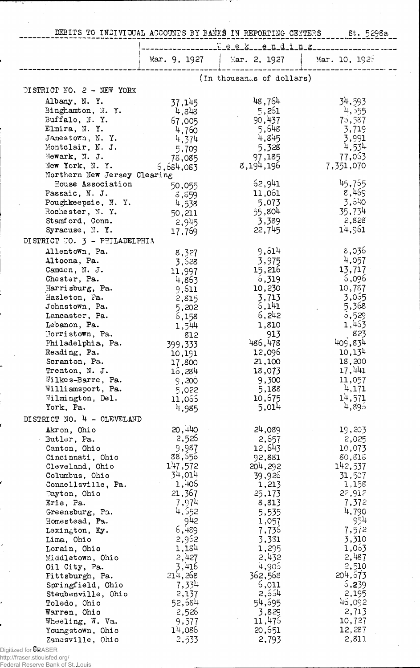| DEBITS TO INDIVIDUAL ACCOUNTS BY BANKS IN REPORTING CENTERS St. 5298a |                   |                                             |                   |
|-----------------------------------------------------------------------|-------------------|---------------------------------------------|-------------------|
|                                                                       |                   | ----- <sup>W</sup> -9-8-6---8-n-d-i-n-6---- |                   |
|                                                                       |                   | Mar. 9, 1927   Mar. 2, 1927                 | Mar. 10, 1925     |
|                                                                       |                   | (In thousands of dollars)                   |                   |
| DISTRICT NO. 2 - NEW YORK                                             |                   |                                             |                   |
| Albany, N.Y.                                                          | 37,145            | 48,764                                      | 34,593            |
| Binghamton, N.Y.                                                      | 4,848             | 5,251                                       | 4,555             |
| Buffalo, N. Y.                                                        | 57,005            | 90,437                                      | 75,587            |
| E1mira, N. Y.                                                         | 4,760             | 5,648                                       | 3,719             |
| Jamestown, N.Y.<br>Montclair, N. J.                                   | 4,374             | 4,845<br>5,328                              | 3,991<br>4,534    |
| Mewark, N. J.                                                         | 5,709<br>78,085   | 97,185                                      | 77,063            |
| New York, N.Y.                                                        | 6,684,083         | 8,194,196                                   | 7,351,070         |
| Northern New Jersey Clearing                                          |                   |                                             |                   |
| House Association                                                     | 50,055            | 62,941                                      | 45,755            |
| Passaic, N. J.                                                        | క,క59             | 11,061                                      | 8,469             |
| Poughkeepsie, N.Y.                                                    | 4,538             | 5,073                                       | 3,640             |
| Rochester, N.Y.<br>Stamford, Conn.                                    | 50,211            | 55,804<br>3,389                             | 35,734<br>2,828   |
| Syracuse, N.Y.                                                        | 2,945<br>17,769   | 22,745                                      | 14,961            |
| DISTRICT NO. 3 - PHILADELPHIA                                         |                   |                                             |                   |
| Allentown, Pa.                                                        |                   | 9,514                                       | 8,035             |
| Altoona, Pa.                                                          | 8,327<br>3,628    | 3,975                                       | 4,057             |
| Camden, N. J.                                                         | 11,997            | 15,216                                      | 13,717            |
| Chester, Pa.                                                          | 4,863             | 6,319                                       | 5,096             |
| Harrisburg, Pa.                                                       | 9,611             | 10,230                                      | 10,787            |
| Hazleton, Pa.                                                         | 2,815             | 3,713                                       | 3,055             |
| Johnstown, Pa.                                                        | 5,202             | 6,141                                       | 5,368             |
| Lancaster, Pa.<br>Lebanon, Pa.                                        | 6,158             | 6,242<br>1,810                              | 5,529<br>1,463    |
| Morristown, Pa.                                                       | 1,544<br>812      | 913                                         | 823               |
| Philadelphia, Pa.                                                     | 399,333           | 486,478                                     | 409,834           |
| Reading, Pa.                                                          | 10,191            | 12,096                                      | 10,134            |
| Scranton, Pa.                                                         | 17,800            | 21,100                                      | 18,200            |
| Trenton, N. J.                                                        | 16,284            | 18,073                                      | 17, 441           |
| Wilkes-Barre, Pa.                                                     | 9,200             | 9,300                                       | 11,057            |
| Williamsport, Pa.<br>Wilmington, Del.                                 | 5,022             | 5,188<br>10,675                             | 4,171<br>14,571   |
| York, Pa.                                                             | 11,065<br>4,985   | 5,014                                       | 4,895             |
| DISTRICT NO. 4 - CLEVELAND                                            |                   |                                             |                   |
| Akron, Ohio                                                           | 20,440            | 24,089                                      | 19,203            |
| Butler, Pa.                                                           | 2,526             | 2,657                                       | 2,025             |
| Canton, Ohio                                                          | 9,987             | 12,643                                      | 10,073            |
| Cincinnati, Ohio                                                      | 88,556            | 92,881                                      | 80,815            |
| Cleveland, Ohio<br>Columbus, Ohio                                     | 147,572<br>34,014 | 204, 292<br>39,926                          | 142,537<br>31,507 |
| Connellsville, Pa.                                                    | 1,406             | 1,213                                       | 1,158             |
| Dayton, Ohio                                                          | 21,367            | 25,173                                      | 22,912            |
| Erie, Pa.                                                             | 7,974             | 8,813                                       | 7,372             |
| Greensburg, Pa.                                                       | 4,552             | 5,535                                       | 4,790             |
| Homestead, Pa.                                                        | 942               | 1,057                                       | 954               |
| Lexington, Ky.                                                        | 6,489<br>2,962    | 7,736<br>3,331                              | 7,572<br>3,310    |
| Lima, Ohio<br>Lorain, Ohio                                            | 1,184             | 1,295                                       | 1,053             |
| Middletown, Ohio                                                      | 2,427             | 2,432                                       | 2,487             |
| Oil City, Pa.                                                         | 3,416             | 4,905                                       | 2,510             |
| Fittsburgh, Pa.                                                       | 214,268           | 362,568                                     | 204, 673          |
| Springfield, Ohio                                                     | 7,334             | 5,011                                       | 6,239             |
| Steubenville, Ohio                                                    | 2,137             | 2,554                                       | 2,195             |
| Toledo, Ohio                                                          | 52,584            | 54,695<br>3,829                             | 46,092<br>2,713   |
| Warren, Ohio<br>Wheeling, W. Va.                                      | 2,526<br>9,577    | 11,475                                      | 10,727            |
| Youngstown, Ohio                                                      | 14,086            | 20,651                                      | 12,287            |
| Zanesville, Ohio                                                      | 2,533             | 2,793                                       | 2,811             |
|                                                                       |                   |                                             |                   |

 $\ddot{\phantom{a}}$ 

 $\hat{\mathcal{L}}$ 

 $\ddot{\phantom{a}}$ 

Digitized for **CRASER** http://fraser.stlouisfed.org/

 $\epsilon$ 

Federal Reserve Bank of St. Louis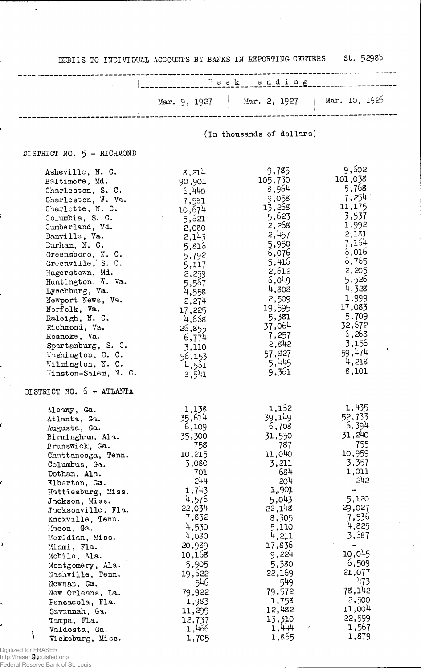## DEBIIS TO INDIVIDUAL ACCOUNTS BY BANKS IN REPORTING CENTERS St. 5298b

|                                                                                                                                                                                                                                                                                                                                                                                                                                                                                                                         | Week ending                                                                                                                                                                                                                               |                                                                                                                                                                                                                                         |                                                                                                                                                                                                                         |
|-------------------------------------------------------------------------------------------------------------------------------------------------------------------------------------------------------------------------------------------------------------------------------------------------------------------------------------------------------------------------------------------------------------------------------------------------------------------------------------------------------------------------|-------------------------------------------------------------------------------------------------------------------------------------------------------------------------------------------------------------------------------------------|-----------------------------------------------------------------------------------------------------------------------------------------------------------------------------------------------------------------------------------------|-------------------------------------------------------------------------------------------------------------------------------------------------------------------------------------------------------------------------|
|                                                                                                                                                                                                                                                                                                                                                                                                                                                                                                                         | Mar. 9, 1927                                                                                                                                                                                                                              | Mar. 2, 1927                                                                                                                                                                                                                            | Mar. 10, 1926                                                                                                                                                                                                           |
|                                                                                                                                                                                                                                                                                                                                                                                                                                                                                                                         |                                                                                                                                                                                                                                           | (In thousands of dollars)                                                                                                                                                                                                               |                                                                                                                                                                                                                         |
| DISTRICT NO. 5 - RICHMOND                                                                                                                                                                                                                                                                                                                                                                                                                                                                                               |                                                                                                                                                                                                                                           |                                                                                                                                                                                                                                         |                                                                                                                                                                                                                         |
| Asheville, N. C.<br>Baltimore, Md.<br>Charleston, S. C.<br>Charleston, W. Va.<br>Charlotte, N. C.<br>Columbia, S. C.<br>Cumberland, Md.<br>Danville, Va.<br>Durham, N. C.<br>Greensboro, N. C.<br>Greenville, S. C.<br>Hagerstown, Md.<br>Huntington, W. Va.<br>Lynchburg, Va.<br>Newport News, Va.<br>Norfolk, Va.<br>Raleigh, N. C.<br>Richmond, Va.<br>Roanoke, Va.<br>Spartanburg, S. C.<br>Washington, D. C.<br>Wilmington, N. C.<br>Winston-Salem, N. C.                                                          | 8,214<br>90,901<br>6,440<br>7,581<br>10,674<br>5,621<br>2,080<br>2,143<br>5,816<br>5,792<br>5,117<br>2,259<br>5,567<br>4,558<br>2,274<br>17,225<br>4,668<br>26,855<br>6,774<br>3,110<br>56,153<br>4,551<br>8,541                          | 9,785<br>105,730<br>8,964<br>9,058<br>13,268<br>5,623<br>2,268<br>2,457<br>5,950<br>5,076<br>5,416<br>2,612<br>6,049<br>4,808<br>2,509<br>19,595<br>5,381<br>37,064<br>7,257<br>2,842<br>57,827<br>5,445<br>9,361                       | 9,602<br>101,038<br>5,768<br>7,254<br>11,175<br>3,537<br>1,992<br>2,181<br>7,164<br>6,016<br>6,765<br>2,205<br>5,526<br>4,328<br>1,999<br>17,083<br>5,709<br>32,572<br>6,268<br>3,156<br>59,474<br>4,218<br>8,101       |
| DISTRICT NO. 6 - ATLANTA<br>Albany, Ga.<br>Atlanta, Ga.<br>Augusta, Ga.<br>Birminghom, Ala.<br>Brunswick, Ga.<br>Chattanooga, Tenn.<br>Columbus, Ga.<br>Dothan, Ala.<br>Elberton, Ga.<br>Hattiesburg, Miss.<br>Jackson, Miss.<br>Jacksonville, Fla.<br>Knoxville, Tenn.<br>M <sub>2</sub> con, Ga.<br>Moridian, Miss.<br>Miami, Fla.<br>Mobile, Ala.<br>Montgomery, Ala.<br>Nashville, Tenn.<br>Newnan, Ga.<br>New Orleans, La.<br>Pensacola, Fla.<br>Savannah, Ga.<br>Tampa, Fla.<br>Valdosta, Ga.<br>Vicksburg, Miss. | 1,138<br>35,614<br>6,109<br>35,300<br>758<br>10,215<br>3,080<br>701<br>5117<br>1,743<br>4,576<br>22,034<br>7,832<br>4,530<br>4,080<br>20,989<br>10,168<br>5,905<br>19,622<br>546<br>79,922<br>1,983<br>11,299<br>12,737<br>1,466<br>1,705 | 1,152<br>39,149<br>6,708<br>31,550<br>787<br>11,040<br>3,211<br>684<br>204<br>1,901<br>5,043<br>22,148<br>8,305<br>5,110<br>4,211<br>17,836<br>9,224<br>5,380<br>22,169<br>549<br>79,572<br>1,758<br>12,482<br>13,310<br>1,444<br>1,865 | 1,435<br>52,733<br>6,394<br>31,240<br>755<br>10,959<br>3,357<br>1,011<br>242<br>5,120<br>29,027<br>7,536<br>4,825<br>3,587<br>10,045<br>6,509<br>21,077<br>473<br>78,142<br>2,500<br>11,004<br>22,599<br>1,567<br>1,879 |

 $\hat{\mathcal{L}}$ 

Digitized for FRASER http://fraser.stlouisfed.org/ Federal Reserve Bank of St. Louis

 $\overline{\phantom{0}}$ 

ï

r

i.

ł

Î.

ł,

,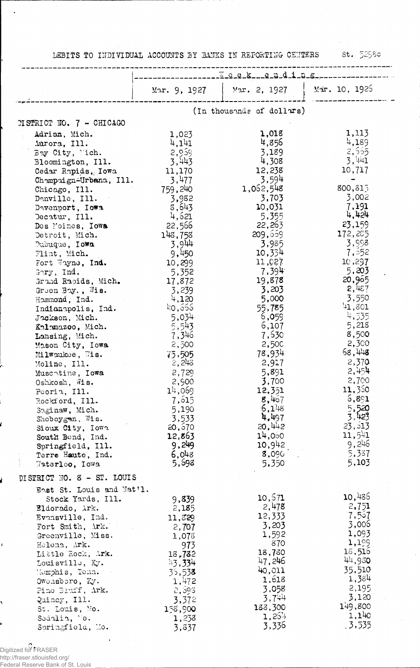DEBITS TO INDIVIDUAL ACCOUNTS BY BANKS IN REPORTING CENTERS St. 5298c

|                                                | <u> Week e adine-as---------------</u> |                           |                  |
|------------------------------------------------|----------------------------------------|---------------------------|------------------|
|                                                |                                        |                           |                  |
|                                                | Mar. 9, 1927                           | Mar. 2, 1927              | Mir. 10, 1925    |
|                                                |                                        | (In thousands of dollars) |                  |
| DISTRICT NO. 7 - CHICAGO                       |                                        |                           |                  |
| Adrian, Mich.                                  | 1,023                                  | 1,018                     | 1,113            |
| Aurora, Ill.                                   | 4,141                                  | 4,856                     | 4,189            |
| Bay City, Mich.                                | -2,959                                 | 3,189                     | -2,555           |
| Bloomington, Ill.                              | 3,443                                  | 4,308                     | 3,441            |
| Cedar Rapids, Iowa                             | 11,170                                 | 12,238                    | 10,717           |
| Champaign-Urbana, Ill.                         | 3,477                                  | 3,594                     |                  |
| Chicago, Ill.                                  | 759,240                                | 1,062,548                 | 800,815          |
| Danville, Ill.                                 | 3,982                                  | 3,703                     | 3,002<br>7,191   |
| Davenport, Iowa                                | 5,643<br>4,621                         | 10,031<br>5,355           | 4,424            |
| Decatur, Ill.<br>Des Moines, Iowa              | 22,566                                 | 22,263                    | 23,159           |
| Detroit, Mich.                                 | 148,758                                | 209,669                   | 172,285          |
| Dubuque, Iowa                                  | 44,3                                   | 3,985                     | 3,998            |
| Flint, Mich.                                   | 9,450                                  | 10,334                    | 7,552            |
| Fort Wayne, Ind.                               | 10,299                                 | 11,027                    | 10,297           |
| $Gary$ , Ind.                                  | 5,352                                  | 7,394                     | 5,203            |
| Grand Rapids, Mich.                            | 17,872                                 | 19,878                    | 20,965           |
| Green Boy., Wis.                               | 3,239                                  | 3,203                     | 2,487            |
| Hammond, Ind.                                  | 4,120                                  | 5,000                     | 3,550            |
| Indianapolis, Ind.                             | 40,666                                 | 55,785                    | 41,801<br>4,535  |
| Jackson, Mich.                                 | 5,034<br>5,543                         | 6,059<br>6,107            | 5,218            |
| Kalamazoo, Mich.<br>Lansing, Mich.             | 7,346                                  | 7,530                     | 8,500            |
| Mason City, Iowa                               | 2,500                                  | 2,50C                     | 2,300            |
| Milwaukee, Wis.                                | 75,505                                 | 78.934                    | 68,448           |
| Moline, Ill.                                   | 2,243                                  | 2,917                     | 2,370            |
| Muscatine, Iowa                                | 2,729                                  | 5,891                     | 2,454            |
| Oshkosh, Wis.                                  | 2,900                                  | 3,700                     | 2,700            |
| Peoria, Ill.                                   | 14,069                                 | 12,351                    | 11,350           |
| Rockford, Ill.                                 | 7,615                                  | 8,467                     | 6,891            |
| Saginaw, Mich.                                 | 5,190                                  | 6,148<br>4,497            | 5,520<br>3,423   |
| Sheboygan, Wis.                                | 3,533                                  | 20,442                    | 23, 013          |
| Sioux City, Iowa                               | 20,570<br>12,863                       | 14,000                    | 11,541           |
| South Bend, Ind.<br>Springfield, Ill.          | 9,249                                  | 10,942                    | 9,246            |
| Terre Haute, Ind.                              | 6,048                                  | 8,090                     | 5,337            |
| Waterloo, Iowa                                 | 5,698                                  | 5,350                     | 5,103            |
| DISTRICT NO. 8 - ST. LOUIS                     |                                        |                           |                  |
|                                                |                                        |                           |                  |
| East St. Louis and Nat'l.<br>Stock Yards, Ill. | 9,839                                  | 10,571                    | 10,486           |
| Eldorado, Ark.                                 | 2,185                                  | 2,478                     | 2,751            |
| Evansville, Ind.                               | 11,529                                 | 12,333                    | 7,557            |
| Fort Smith, Ark.                               | 2,707                                  | 3,203                     | 3,006            |
| Greenville, Miss.                              | 1,078                                  | 1,592                     | 1,093            |
| Helena, Ark.                                   | 973                                    | 870                       | 1,199            |
| Little Rock, Ark.                              | 18,732                                 | 18,730                    | 18,516           |
| Louisville, Ky.                                | 43,334                                 | 47,246                    | 44,980<br>35,510 |
| Memphis, Tenn.                                 | 35,538                                 | 40,011<br>1,618           | 1,384            |
| Owensboro, Ky.<br>Pine Bluff, Ark.             | 1,472                                  | 3,058                     | 2,195            |
| Quincy, Ill.                                   | 2,593<br>3,372                         | 3,744                     | 3,120            |
| St. Louis, Mo.                                 | 158,900                                | 188,300                   | 149,800          |
| Sedalia, Mo.                                   | 1,233                                  | $1,25 +$                  | 1,140            |
| Soringfield, Mo.                               | 3,837                                  | 3,336                     | 3,535            |

J

ł

١

,

C<br>Digitized for FRASER<br>http://fraser.stlouisfed.org/<br>Federal Reserve Bank of St. Louis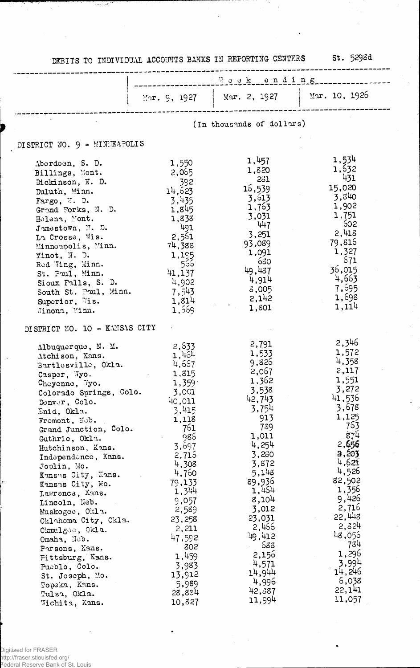|                                                                                                                                                                                                                                                                                                                                                                                                                                                                                                                                                        | DEBITS TO INDIVIDUAL ACCOUNTS BANKS IN REPORTING CENTERS 5t. 5298d                                                                                                                                                                    |                                                                                                                                                                                                                                                   |                                                                                                                                                                                                                                                |  |
|--------------------------------------------------------------------------------------------------------------------------------------------------------------------------------------------------------------------------------------------------------------------------------------------------------------------------------------------------------------------------------------------------------------------------------------------------------------------------------------------------------------------------------------------------------|---------------------------------------------------------------------------------------------------------------------------------------------------------------------------------------------------------------------------------------|---------------------------------------------------------------------------------------------------------------------------------------------------------------------------------------------------------------------------------------------------|------------------------------------------------------------------------------------------------------------------------------------------------------------------------------------------------------------------------------------------------|--|
|                                                                                                                                                                                                                                                                                                                                                                                                                                                                                                                                                        | <b>Fook</b> ending                                                                                                                                                                                                                    |                                                                                                                                                                                                                                                   |                                                                                                                                                                                                                                                |  |
|                                                                                                                                                                                                                                                                                                                                                                                                                                                                                                                                                        | Mar. 9, 1927                                                                                                                                                                                                                          | Mar. 2, 1927                                                                                                                                                                                                                                      | Mar. 10, 1926                                                                                                                                                                                                                                  |  |
|                                                                                                                                                                                                                                                                                                                                                                                                                                                                                                                                                        |                                                                                                                                                                                                                                       | (In thousands of dollars)                                                                                                                                                                                                                         |                                                                                                                                                                                                                                                |  |
| DISTRICT NO. 9 - MINEBAROLIS                                                                                                                                                                                                                                                                                                                                                                                                                                                                                                                           |                                                                                                                                                                                                                                       |                                                                                                                                                                                                                                                   |                                                                                                                                                                                                                                                |  |
| Aberdeen, S. D.<br>Billings, Mont.<br>Dickinson, N. D.<br>Duluth, Minn.<br>Fargo, $\mathbb{I}$ . D.<br>Grand Forks, N. D.<br>Helena, Mont.<br>$J$ amestown, N. D.<br>La Crosse, Wis.<br>Minneapolis, Minn.<br>$\texttt{Yinot}, \texttt{N. } \mathcal{D}.$<br>Rod Wing, Minn.<br>St. Paul, Minn.<br>Sioux Falls, S. D.<br>South St. Poul, Minn.<br>Superior, Wis.<br>Jinona, Minn.                                                                                                                                                                      | 1,550<br>2,065<br>- 392<br>14,623<br>3,435<br>1,845<br>1,838<br>491<br>2,561<br>74,388<br>1,195<br>566<br>41,137<br>4,902<br>7,543<br>1,814<br>1,559                                                                                  | 1,457<br>1,820<br>231<br>15,539<br>3,613<br>1,763<br>3,031<br>447<br>3,251<br>93,089<br>1,091<br>630<br>49,487<br>4,914<br>8,005<br>2,142<br>1,801                                                                                                | 1,534<br>1,632<br>431<br>15,020<br>3,840<br>1,902<br>1,751<br>502<br>2,418<br>79,816<br>1,327<br>671<br>36,015<br>4,663<br>7,695<br>1,698<br>1,114                                                                                             |  |
| DISTRICT NO. 10 - KANSAS CITY<br>Albuquerque, N. M.<br>Atchison, Kans.<br>Bartlesville, Okla.<br>Casper, Wyo.<br>Cheyenne, Wyo.<br>Colorado Springs, Colo.<br>Denver, Colo.<br>Enid, Okla.<br>Fremont, Nob.<br>Grand Junction, Colo.<br>Guthrie, Okla.<br>Hutchinson, Kans.<br>Independence, Kans.<br>Joplin, Mo.<br>Kunsas City, Kans.<br>Kansas City, Mo.<br>Lawrence, Kans.<br>Lincoln, Neb.<br>Muskogee, Okla.<br>Oklahoma City, Okla.<br>Okmulgoe, Okla.<br>Omaha, Nob.<br>Parsons, Kans.<br>Fittsburg, Kans.<br>Pueblo, Colo.<br>St. Joseph, Mo. | 2,633<br>1,464<br>4,667<br>1,815<br>1,359<br>3,001<br>40,011<br>3,415<br>1,118<br>761<br>986<br>3,697<br>2,715<br>4,308<br>4,760<br>79,133<br>1,344<br>9,057<br>2,589<br>23,258<br>2,211<br>47,592<br>802<br>1,459<br>3,983<br>13,912 | 2,791<br>1,533<br>9,826<br>2,067<br>1,362<br>3,538<br>42,743<br>3,754<br>913<br>789<br>1,011<br>4,254<br>3,280<br>3,872<br>5,143<br>89,936<br>1,464<br>8,104<br>3,012<br>23,031<br>2,466<br>49,412<br>683<br>2,156<br>$-4,571$<br>14,944<br>4,996 | 2,346<br>1,572<br>4,358<br>2,117<br>1,551<br>3,272<br>41,536<br>3,678<br>1,125<br>763<br>874<br>2,656<br>a,203<br>4,621<br>4,526<br>82,502<br>1,356<br>9,426<br>2,716<br>22,443<br>2,824<br>48,056<br>734<br>1,296<br>3,994<br>14,246<br>6,038 |  |